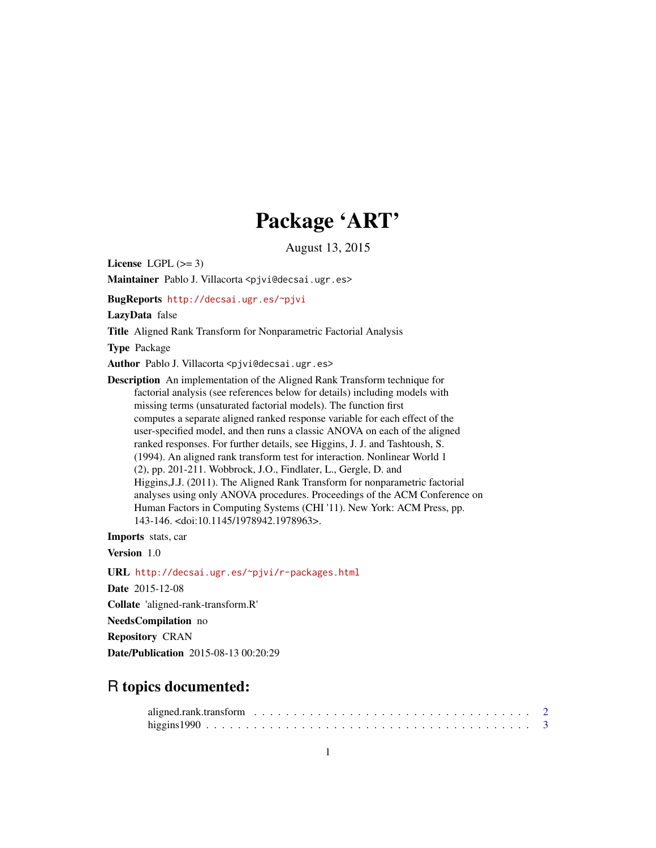## Package 'ART'

August 13, 2015

<span id="page-0-0"></span>License LGPL  $(>= 3)$ 

Maintainer Pablo J. Villacorta <pjvi@decsai.ugr.es>

BugReports <http://decsai.ugr.es/~pjvi>

LazyData false

Title Aligned Rank Transform for Nonparametric Factorial Analysis

Type Package

Author Pablo J. Villacorta <pjvi@decsai.ugr.es>

Description An implementation of the Aligned Rank Transform technique for factorial analysis (see references below for details) including models with missing terms (unsaturated factorial models). The function first computes a separate aligned ranked response variable for each effect of the user-specified model, and then runs a classic ANOVA on each of the aligned ranked responses. For further details, see Higgins, J. J. and Tashtoush, S. (1994). An aligned rank transform test for interaction. Nonlinear World 1 (2), pp. 201-211. Wobbrock, J.O., Findlater, L., Gergle, D. and Higgins,J.J. (2011). The Aligned Rank Transform for nonparametric factorial analyses using only ANOVA procedures. Proceedings of the ACM Conference on Human Factors in Computing Systems (CHI '11). New York: ACM Press, pp. 143-146. <doi:10.1145/1978942.1978963>.

Imports stats, car

Version 1.0

URL <http://decsai.ugr.es/~pjvi/r-packages.html>

Date 2015-12-08

Collate 'aligned-rank-transform.R'

NeedsCompilation no

Repository CRAN

Date/Publication 2015-08-13 00:20:29

### R topics documented: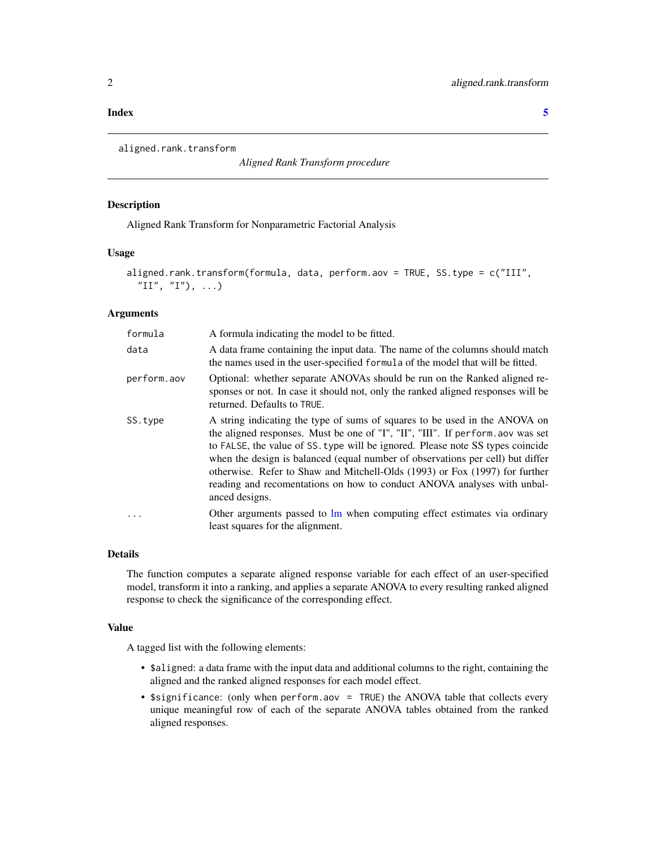#### <span id="page-1-0"></span>**Index** [5](#page-4-0). The second state of the second state of the second state of the second state of the second state of the second state of the second state of the second state of the second state of the second state of the second

```
aligned.rank.transform
```
*Aligned Rank Transform procedure*

#### Description

Aligned Rank Transform for Nonparametric Factorial Analysis

#### Usage

```
aligned.rank.transform(formula, data, perform.aov = TRUE, SS.type = c("III",
  "II", "I"), ...)
```
#### Arguments

| formula     | A formula indicating the model to be fitted.                                                                                                                                                                                                                                                                                                                                                                                                                                                                  |
|-------------|---------------------------------------------------------------------------------------------------------------------------------------------------------------------------------------------------------------------------------------------------------------------------------------------------------------------------------------------------------------------------------------------------------------------------------------------------------------------------------------------------------------|
| data        | A data frame containing the input data. The name of the columns should match<br>the names used in the user-specified formula of the model that will be fitted.                                                                                                                                                                                                                                                                                                                                                |
| perform.aov | Optional: whether separate ANOVAs should be run on the Ranked aligned re-<br>sponses or not. In case it should not, only the ranked aligned responses will be<br>returned. Defaults to TRUE.                                                                                                                                                                                                                                                                                                                  |
| SS.type     | A string indicating the type of sums of squares to be used in the ANOVA on<br>the aligned responses. Must be one of "I", "III", "III". If perform aov was set<br>to FALSE, the value of SS. type will be ignored. Please note SS types coincide<br>when the design is balanced (equal number of observations per cell) but differ<br>otherwise. Refer to Shaw and Mitchell-Olds (1993) or Fox (1997) for further<br>reading and recomentations on how to conduct ANOVA analyses with unbal-<br>anced designs. |
| $\ddots$    | Other arguments passed to lm when computing effect estimates via ordinary<br>least squares for the alignment.                                                                                                                                                                                                                                                                                                                                                                                                 |

#### Details

The function computes a separate aligned response variable for each effect of an user-specified model, transform it into a ranking, and applies a separate ANOVA to every resulting ranked aligned response to check the significance of the corresponding effect.

#### Value

A tagged list with the following elements:

- \$aligned: a data frame with the input data and additional columns to the right, containing the aligned and the ranked aligned responses for each model effect.
- \$significance: (only when perform.aov = TRUE) the ANOVA table that collects every unique meaningful row of each of the separate ANOVA tables obtained from the ranked aligned responses.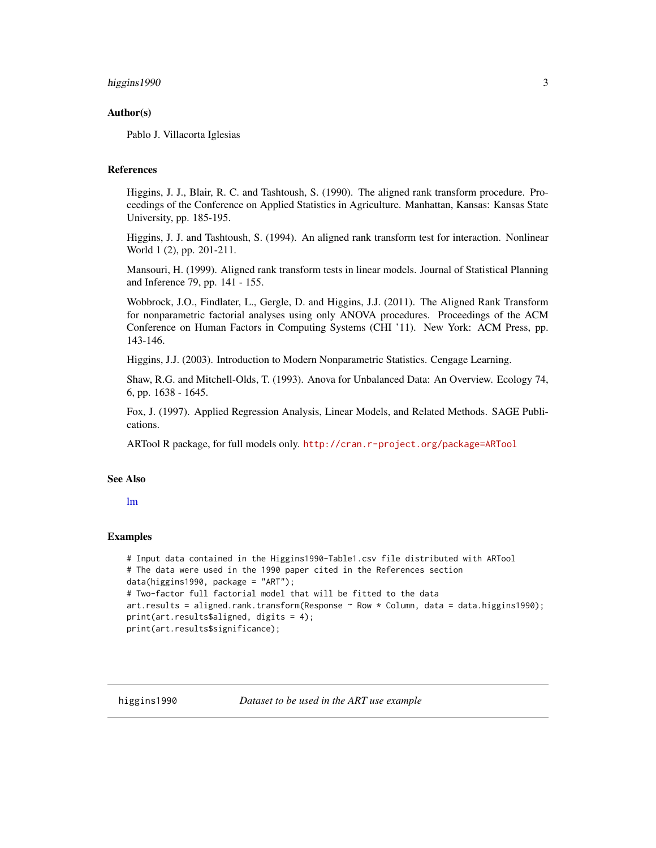#### <span id="page-2-0"></span>higgins 1990 3

#### Author(s)

Pablo J. Villacorta Iglesias

#### References

Higgins, J. J., Blair, R. C. and Tashtoush, S. (1990). The aligned rank transform procedure. Proceedings of the Conference on Applied Statistics in Agriculture. Manhattan, Kansas: Kansas State University, pp. 185-195.

Higgins, J. J. and Tashtoush, S. (1994). An aligned rank transform test for interaction. Nonlinear World 1 (2), pp. 201-211.

Mansouri, H. (1999). Aligned rank transform tests in linear models. Journal of Statistical Planning and Inference 79, pp. 141 - 155.

Wobbrock, J.O., Findlater, L., Gergle, D. and Higgins, J.J. (2011). The Aligned Rank Transform for nonparametric factorial analyses using only ANOVA procedures. Proceedings of the ACM Conference on Human Factors in Computing Systems (CHI '11). New York: ACM Press, pp. 143-146.

Higgins, J.J. (2003). Introduction to Modern Nonparametric Statistics. Cengage Learning.

Shaw, R.G. and Mitchell-Olds, T. (1993). Anova for Unbalanced Data: An Overview. Ecology 74, 6, pp. 1638 - 1645.

Fox, J. (1997). Applied Regression Analysis, Linear Models, and Related Methods. SAGE Publications.

ARTool R package, for full models only. <http://cran.r-project.org/package=ARTool>

#### See Also

#### [lm](#page-0-0)

#### Examples

```
# Input data contained in the Higgins1990-Table1.csv file distributed with ARTool
# The data were used in the 1990 paper cited in the References section
data(higgins1990, package = "ART");
# Two-factor full factorial model that will be fitted to the data
art.results = aligned.rank.transform(Response \sim Row \star Column, data = data.higgins1990);
print(art.results$aligned, digits = 4);
print(art.results$significance);
```
higgins1990 *Dataset to be used in the ART use example*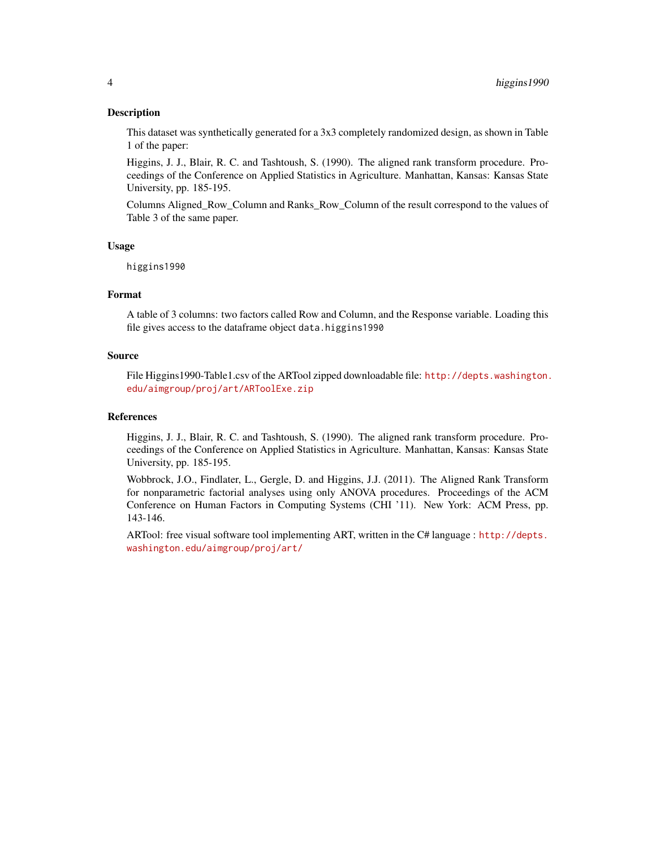#### Description

This dataset was synthetically generated for a 3x3 completely randomized design, as shown in Table 1 of the paper:

Higgins, J. J., Blair, R. C. and Tashtoush, S. (1990). The aligned rank transform procedure. Proceedings of the Conference on Applied Statistics in Agriculture. Manhattan, Kansas: Kansas State University, pp. 185-195.

Columns Aligned\_Row\_Column and Ranks\_Row\_Column of the result correspond to the values of Table 3 of the same paper.

#### Usage

higgins1990

#### Format

A table of 3 columns: two factors called Row and Column, and the Response variable. Loading this file gives access to the dataframe object data.higgins1990

#### Source

File Higgins1990-Table1.csv of the ARTool zipped downloadable file: [http://depts.washington.](http://depts.washington.edu/aimgroup/proj/art/ARToolExe.zip) [edu/aimgroup/proj/art/ARToolExe.zip](http://depts.washington.edu/aimgroup/proj/art/ARToolExe.zip)

#### References

Higgins, J. J., Blair, R. C. and Tashtoush, S. (1990). The aligned rank transform procedure. Proceedings of the Conference on Applied Statistics in Agriculture. Manhattan, Kansas: Kansas State University, pp. 185-195.

Wobbrock, J.O., Findlater, L., Gergle, D. and Higgins, J.J. (2011). The Aligned Rank Transform for nonparametric factorial analyses using only ANOVA procedures. Proceedings of the ACM Conference on Human Factors in Computing Systems (CHI '11). New York: ACM Press, pp. 143-146.

ARTool: free visual software tool implementing ART, written in the C# language : [http://depts.](http://depts.washington.edu/aimgroup/proj/art/) [washington.edu/aimgroup/proj/art/](http://depts.washington.edu/aimgroup/proj/art/)